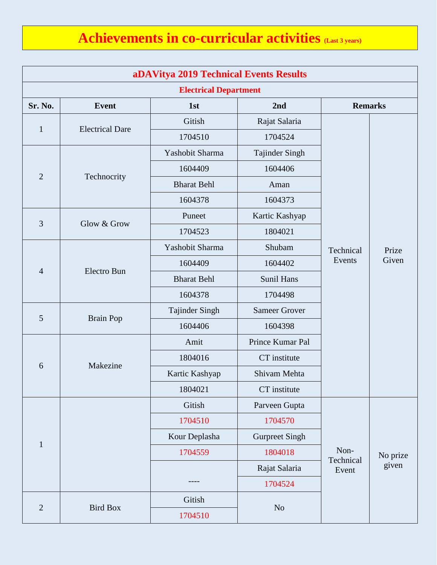## **Achievements in co-curricular activities (Last 3 years)**

| aDAVitya 2019 Technical Events Results |                        |                    |                       |                     |                |  |  |  |
|----------------------------------------|------------------------|--------------------|-----------------------|---------------------|----------------|--|--|--|
| <b>Electrical Department</b>           |                        |                    |                       |                     |                |  |  |  |
| Sr. No.                                | <b>Event</b>           | 1st                | 2nd                   | <b>Remarks</b>      |                |  |  |  |
| $\mathbf{1}$                           | <b>Electrical Dare</b> | Gitish             | Rajat Salaria         |                     | Prize<br>Given |  |  |  |
|                                        |                        | 1704510            | 1704524               |                     |                |  |  |  |
| $\overline{2}$                         | Technocrity            | Yashobit Sharma    | Tajinder Singh        |                     |                |  |  |  |
|                                        |                        | 1604409            | 1604406               |                     |                |  |  |  |
|                                        |                        | <b>Bharat Behl</b> | Aman                  |                     |                |  |  |  |
|                                        |                        | 1604378            | 1604373               |                     |                |  |  |  |
| 3                                      | Glow & Grow            | Puneet             | Kartic Kashyap        |                     |                |  |  |  |
|                                        |                        | 1704523            | 1804021               |                     |                |  |  |  |
|                                        | Electro Bun            | Yashobit Sharma    | Shubam                | Technical<br>Events |                |  |  |  |
|                                        |                        | 1604409            | 1604402               |                     |                |  |  |  |
| $\overline{4}$                         |                        | <b>Bharat Behl</b> | Sunil Hans            |                     |                |  |  |  |
|                                        |                        | 1604378            | 1704498               |                     |                |  |  |  |
| 5                                      | <b>Brain Pop</b>       | Tajinder Singh     | <b>Sameer Grover</b>  |                     |                |  |  |  |
|                                        |                        | 1604406            | 1604398               |                     |                |  |  |  |
| 6                                      | Makezine               | Amit               | Prince Kumar Pal      |                     |                |  |  |  |
|                                        |                        | 1804016            | CT institute          |                     |                |  |  |  |
|                                        |                        | Kartic Kashyap     | Shivam Mehta          |                     |                |  |  |  |
|                                        |                        | 1804021            | CT institute          |                     |                |  |  |  |
|                                        |                        | Gitish             | Parveen Gupta         |                     |                |  |  |  |
|                                        |                        | 1704510            | 1704570               |                     |                |  |  |  |
| $\mathbf{1}$                           |                        | Kour Deplasha      | <b>Gurpreet Singh</b> |                     |                |  |  |  |
|                                        |                        | 1704559            | 1804018               | Non-                | No prize       |  |  |  |
|                                        |                        |                    | Rajat Salaria         | Technical<br>Event  | given          |  |  |  |
|                                        |                        |                    | 1704524               |                     |                |  |  |  |
| $\mathbf{2}$                           | <b>Bird Box</b>        | Gitish             | No                    |                     |                |  |  |  |
|                                        |                        | 1704510            |                       |                     |                |  |  |  |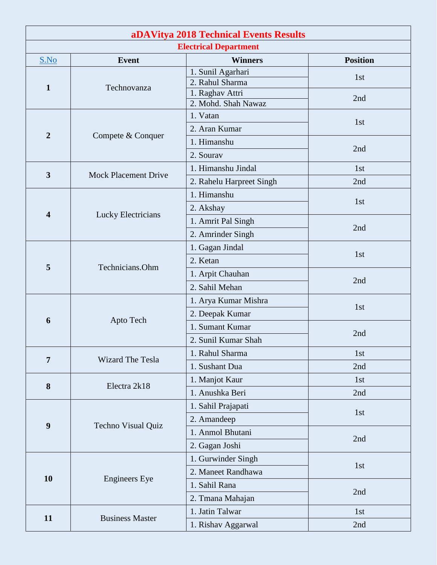| aDAVitya 2018 Technical Events Results |                             |                                        |                 |  |  |  |  |
|----------------------------------------|-----------------------------|----------------------------------------|-----------------|--|--|--|--|
| <b>Electrical Department</b>           |                             |                                        |                 |  |  |  |  |
| S.No                                   | <b>Event</b>                | <b>Winners</b>                         | <b>Position</b> |  |  |  |  |
| 1                                      |                             | 1. Sunil Agarhari<br>2. Rahul Sharma   | 1st             |  |  |  |  |
|                                        | Technovanza                 | 1. Raghav Attri<br>2. Mohd. Shah Nawaz | 2nd             |  |  |  |  |
| $\overline{2}$                         |                             | 1. Vatan                               | 1st             |  |  |  |  |
|                                        |                             | 2. Aran Kumar                          |                 |  |  |  |  |
|                                        | Compete & Conquer           | 1. Himanshu                            |                 |  |  |  |  |
|                                        |                             | 2. Sourav                              | 2nd             |  |  |  |  |
|                                        |                             | 1. Himanshu Jindal                     | 1st             |  |  |  |  |
| $\overline{\mathbf{3}}$                | <b>Mock Placement Drive</b> | 2. Rahelu Harpreet Singh               | 2nd             |  |  |  |  |
|                                        |                             | 1. Himanshu                            |                 |  |  |  |  |
|                                        |                             | 2. Akshay                              | 1st             |  |  |  |  |
| $\overline{\mathbf{4}}$                | Lucky Electricians          | 1. Amrit Pal Singh                     |                 |  |  |  |  |
|                                        |                             | 2. Amrinder Singh                      | 2nd             |  |  |  |  |
|                                        | Technicians.Ohm             | 1. Gagan Jindal                        |                 |  |  |  |  |
|                                        |                             | 2. Ketan                               | 1st             |  |  |  |  |
| 5                                      |                             | 1. Arpit Chauhan                       | 2nd             |  |  |  |  |
|                                        |                             | 2. Sahil Mehan                         |                 |  |  |  |  |
|                                        |                             | 1. Arya Kumar Mishra                   | 1st             |  |  |  |  |
| 6                                      |                             | 2. Deepak Kumar                        |                 |  |  |  |  |
|                                        | Apto Tech                   | 1. Sumant Kumar                        | 2nd             |  |  |  |  |
|                                        |                             | 2. Sunil Kumar Shah                    |                 |  |  |  |  |
| 7                                      | <b>Wizard The Tesla</b>     | 1. Rahul Sharma                        | 1st             |  |  |  |  |
|                                        |                             | 1. Sushant Dua                         | 2nd             |  |  |  |  |
| 8                                      | Electra 2k18                | 1. Manjot Kaur                         | 1st             |  |  |  |  |
|                                        |                             | 1. Anushka Beri                        | 2nd             |  |  |  |  |
|                                        |                             | 1. Sahil Prajapati                     | 1st             |  |  |  |  |
| 9                                      | Techno Visual Quiz          | 2. Amandeep                            |                 |  |  |  |  |
|                                        |                             | 1. Anmol Bhutani                       | 2nd             |  |  |  |  |
|                                        |                             | 2. Gagan Joshi                         |                 |  |  |  |  |
|                                        |                             | 1. Gurwinder Singh                     | 1st<br>2nd      |  |  |  |  |
| 10                                     | <b>Engineers</b> Eye        | 2. Maneet Randhawa                     |                 |  |  |  |  |
|                                        |                             | 1. Sahil Rana                          |                 |  |  |  |  |
|                                        |                             | 2. Tmana Mahajan                       |                 |  |  |  |  |
| 11                                     | <b>Business Master</b>      | 1. Jatin Talwar                        | 1st             |  |  |  |  |
|                                        |                             | 1. Rishav Aggarwal                     | 2nd             |  |  |  |  |